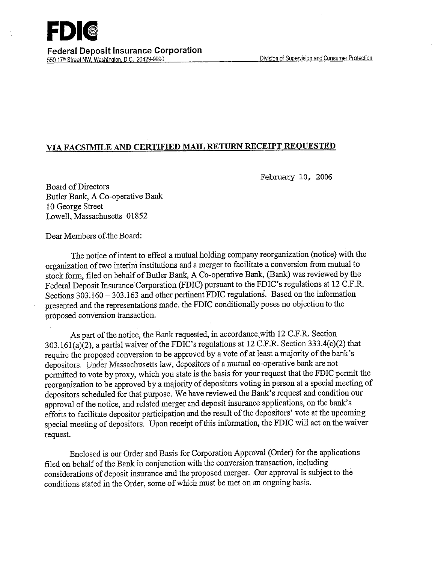

### **VIA FACSIMILE AND CERTIFIED MAIL RETURN RECEIPT REQUESTED**

February 10, 2006

Board of Directors Butler Bank, A CO-operative Bank 10 George Street Lowell, Massachusetts 01852

Dear Members of.the Board:

The notice of intent to effect a mutual holding company reorganization (notice) with the organization of two interim institutions and a merger to facilitate a conversion from mutual to stock form, filed on behalf of Butler Bank, A Co-operative Bank, (Bank) was reviewed by the Federal Deposit Insurance Corporation (FDIC) pursuant to the FDIC's regulations at 12 C.F.R. Sections  $303.160 - 303.163$  and other pertinent FDIC regulations. Based on the information presented and the representations made, the FDIC conditionally poses no objection to the proposed conversion transaction.

As part of the notice, the Bank requested, in accordance with 12 C.F.R. Section 303.161(a)(2), a partial waiver of the FDIC's regulations at 12 C.F.R. Section 333.4(c)(2) that require the proposed conversion to be approved by a vote of at least a majority of the bank's depositors. Under Massachusetts law, depositors of a mutual co-operative bank are not permitted to vote by proxy, which you state is the basis for your request that the FDIC permit the reorganization to be approved by a majority of depositors voting in person at a special meeting of depositors scheduled for that purpose. We have reviewed the Bank's request and condition our approval of the notice, and related merger and deposit insurance applications, on the bank's efforts to facilitate depositor participation and the result of the depositors' vote at the upcoming special meeting of depositors. Upon receipt of this information, the FDIC will act on the waiver request.

Enclosed is our Order and Basis for Corporation Approval (Order) for the applications filed on behalf of the Bank in conjunction with the conversion transaction, including considerations of deposit insurance and the proposed merger. Our approval is subject to the conditions stated in the Order, some of which must be met on an ongoing basis.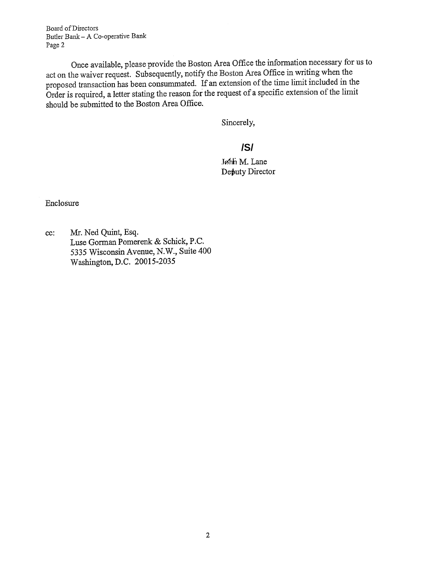Board of Directors Butler Bank - A Co-operative Bank Page 2

Once available, please provide the Boston Area Office the information necessary for us to act on the waiver request. Subsequently, notify the Boston Area Office in writing when the proposed transaction has been consummated. If an extension of the time limit included in the Order is required, a letter stating the reason for the request of a specific extension of the limit should be submitted to the Boston Area Office.

Sincerely,

# **/S/**

Jøhn M. Lane Deputy Director

Enclosure

cc: Mr. Ned Quint, Esq. Luse Gorman Pomerenk & Schick, P.C. *5335* Wisconsin Avenue, N.W., Suite 400 Washington, D.C. 20015-2035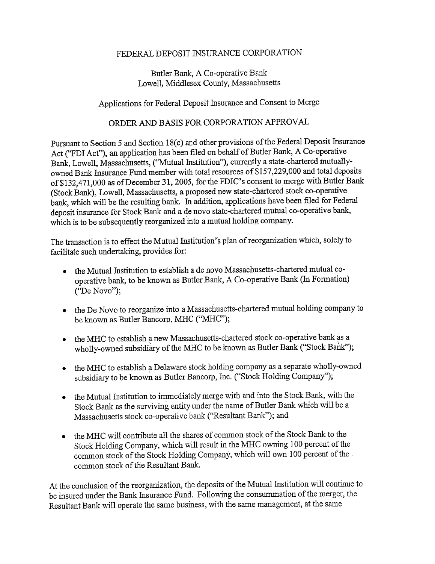#### FEDERAL DEPOSIT INSURANCE CORPORATION

#### Butler Bank, A Co-operative Bank Lowell, Middlesex County, Massachusetts

## Applications for Federal Deposit Insurance and Consent to Merge

## ORDER AND BASIS FOR CORPORATION APPROVAL

Pursuant to Section *5* and Section 18(c) and other provisions of the Federal Deposit Insurance Act ("FDI Act"), an application has been filed on behalf of Butler Bank, A Co-operative Bank, Lowell, Massachusetts, ("Mutual Institution"), currently a state-chartered mutuallyowned Bank Insurance Fund member with total resources of \$157,229,000 and total deposits of \$132,471,000 as of December 31, 2005, for the FDIC's consent to merge with Butler Bank (Stock Bank), Lowell, Massachusetts, a proposed new state-chartered stock co-operative bank, which will be the resulting bank. In addition, applications have been filed for Federal deposit insurance for Stock Bank and a de novo state-chartered mutual co-operative bank, which is to be subsequently reorganized into a mutual holding company.

The transaction is to effect the Mutual Institution's plan of reorganization which, solely to facilitate such undertaking, provides for:

- the Mutual Institution to establish a de novo Massachusetts-chartered mutual cooperative bank, to be known as Butler Bank, A Co-operative Bank (In Formation) ('De Novo");
- the De Novo to reorganize into a Massachusetts-chartered mutual holding company to be known as Butler Bancorp, MHC ("MHC");
- the MHC to establish a new Massachusetts-chartered stock co-operative bank as a wholly-owned subsidiary of the MHC to be known as Butler Bank ("Stock Bank");
- the MHC to establish a Delaware stock holding company as a separate wholly-owned subsidiary to be known as Butler Bancorp, Inc. ("Stock Holding Company");
- the Mutual Institution to immediately merge with and into the Stock Bank, with the Stock Bank as the surviving entity under the name of Butler Bank which will be a Massachusetts stock co-operative bank ("Resultant Bank"); and
- the MHC will contribute all the shares of common stock of the Stock Bank to the Stock Holding Company, which will result in the MIHC owning 100 percent of the common stock of the Stock Holding Company, which will own 100 percent of the common stock of the Resultant Bank.

At the conclusion of the reorganization, the deposits of the Mutual Institution will continue to be insured under the Bank Insurance Fund. Following the consummation of the merger, the Resultant Bank will operate the same business, with the same management, at the same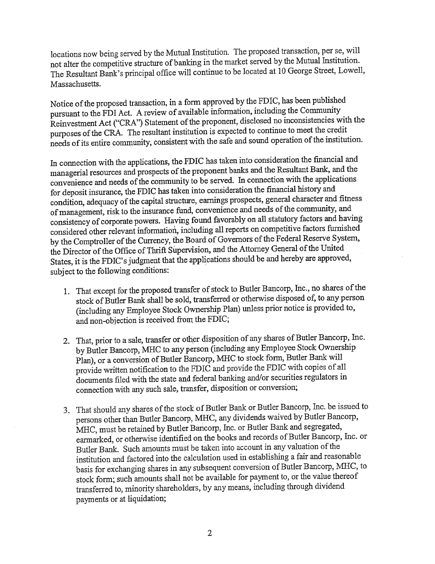locations now being served by the Mutual Institution. The proposed transaction, per se, will not alter the competitive structure of banking in the market served by the Mutual Institution. The Resultant Bank's principal office will continue to be located at 10 George Street, Lowell, Massachusetts.

Notice of the proposed transaction, in a form approved by the FDIC, has been published pursuant to the FDI Act. A review of available information, including the Community Reinvestment Act ("CRA") Statement of the proponent, disclosed no inconsistencies with the purposes of the CRA. The resultant institution is expected to continue to meet the credit needs of its entire community, consistent with the safe and sound operation of the institution.

In connection with the applications, the FDIC has taken into consideration the financial and managerial resources and prospects of the proponent banks and the Resultant Bank, and the convenience and needs of the community to be served. In connection with the applications for deposit insurance, the FDIC has taken into consideration the financial history and condition, adequacy of the capital structure, earnings prospects, general character and fitness of management, risk to the insurance fund, convenience and needs of the community, and consistency of corporate powers. Having found favorably on all statutory factors and having considered other relevant information, including all reports on competitive factors furnished by the Comptroller of the Currency, the Board of Governors of the Federal Reserve System, the Director of the Office of Thrift Supervision, and the Attorney General of the United States, it is the FDIC's judgment that the applications should be and hereby are approved, subject to the following conditions:

- 1. That except for the proposed transfer of stock to Butler Bancorp, Inc., no shares of the stock of Butler Bank shall be sold, transferred or otherwise disposed of, to any person (including any Employee Stock Ownership Plan) unless prior notice is provided to, and non-objection is received from the FDIC;
- 2. That, prior to a sale, transfer or other disposition of any shares of Butler Bancorp, Inc. by Butler Bancorp, MIHC to any person (including any Employee Stock Ownership Plan), or a conversion of Butler Bancorp, MIHC to stock form, Butler Bank will provide written notification to the FDIC and provide the FDIC with copies of all documents filed with the state and federal banking and/or securities regulators in connection with any such sale, transfer, disposition or conversion;
- 3. That should any shares of the stock of Butler Bank or Butler Bancorp, Inc. be issued to persons other than Butler Bancorp, MHC, any dividends waived by Butler Bancorp, MBC, must be retained by Butler Bancorp, Inc. or Butler Bank and segregated, earmarked, or otherwise identified on the books and records of Butler Bancorp, Inc. or Butler Bank. Such amounts must be taken into account in any valuation of the institution and factored into the calculation used in establishing a fair and reasonable basis for exchanging shares in any subsequent conversion of Butler Bancorp, MHC, to stock form; such amounts shall not be available for payment to, or the value thereof transferred to, minority shareholders, by any means, including through dividend payments or at liquidation: